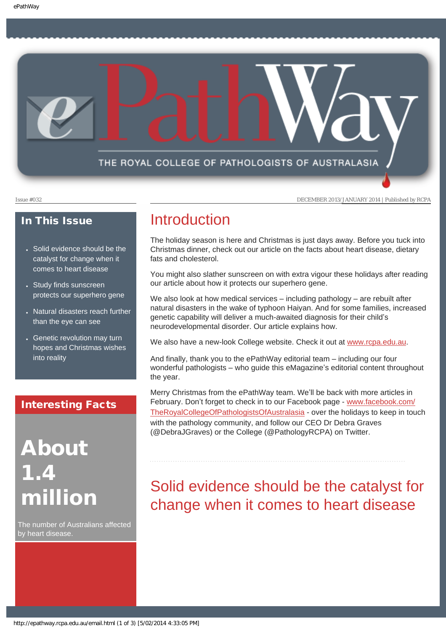THE ROYAL COLLEGE OF PATHOLOGISTS OF AUSTRALASIA

Issue #032 DECEMBER 2013/JANUARY 2014 | Published by RCPA

### In This Issue

- Solid evidence should be the catalyst for change when it comes to heart disease
- Study finds sunscreen protects our superhero gene
- Natural disasters reach further than the eye can see
- Genetic revolution may turn hopes and Christmas wishes into reality

### Interesting Facts

# About 1.4 million

The number of Australians affected by heart disease.

### Introduction

The holiday season is here and Christmas is just days away. Before you tuck into Christmas dinner, check out our article on the facts about heart disease, dietary fats and cholesterol.

You might also slather sunscreen on with extra vigour these holidays after reading our article about how it protects our superhero gene.

We also look at how medical services – including pathology – are rebuilt after natural disasters in the wake of typhoon Haiyan. And for some families, increased genetic capability will deliver a much-awaited diagnosis for their child's neurodevelopmental disorder. Our article explains how.

We also have a new-look College website. Check it out at [www.rcpa.edu.au.](http://www.rcpa.edu.au/)

And finally, thank you to the ePathWay editorial team – including our four wonderful pathologists – who guide this eMagazine's editorial content throughout the year.

Merry Christmas from the ePathWay team. We'll be back with more articles in February. Don't forget to check in to our Facebook page - [www.facebook.com/](http://www.facebook.com/TheRoyalCollegeOfPathologistsOfAustralasia) [TheRoyalCollegeOfPathologistsOfAustralasia](http://www.facebook.com/TheRoyalCollegeOfPathologistsOfAustralasia) - over the holidays to keep in touch with the pathology community, and follow our CEO Dr Debra Graves (@DebraJGraves) or the College (@PathologyRCPA) on Twitter.

# Solid evidence should be the catalyst for change when it comes to heart disease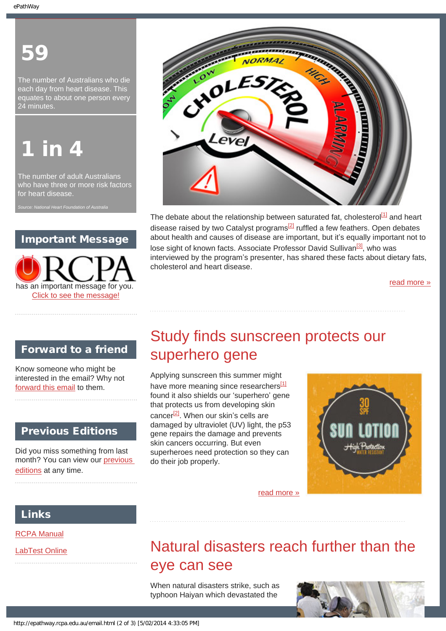# 59

The number of Australians who die each day from heart disease. This equates to about one person every 24 minutes.

# <u>in 4</u>

The number of adult Australians who have three or more risk factors for heart disease.

### Important Message





The debate about the relationship between saturated fat, cholesterol $\frac{11}{1}$  and heart disease raised by two Catalyst programs<sup>[\[2\]](#page-7-1)</sup> ruffled a few feathers. Open debates about health and causes of disease are important, but it's equally important not to lose sight of known facts. Associate Professor David Sullivan<sup>[3]</sup>, who was interviewed by the program's presenter, has shared these facts about dietary fats, cholesterol and heart disease.

[read more »](#page-6-0)

### Forward to a friend

Know someone who might be interested in the email? Why not [forward this email](mailto:?Subject=I%20think%20you%20should%20read%20this%20Newsletter=
http://epathway.rcpa.edu.au/index.html) to them.

### Previous Editions

Did you miss something from last month? You can view our [previous](#page-4-0)  [editions](#page-4-0) at any time.

# Study finds sunscreen protects our superhero gene

Applying sunscreen this summer might have more meaning since researchers<sup>[1]</sup> found it also shields our 'superhero' gene that protects us from developing skin cancer $^{[2]}$ . When our skin's cells are damaged by ultraviolet (UV) light, the p53 gene repairs the damage and prevents skin cancers occurring. But even superheroes need protection so they can do their job properly.



### Links

[RCPA Manual](http://rcpamanual.edu.au/)

[LabTest Online](http://www.labtestsonline.org.au/) 

# Natural disasters reach further than the eye can see

[read more »](#page-8-0)

When natural disasters strike, such as typhoon Haiyan which devastated the

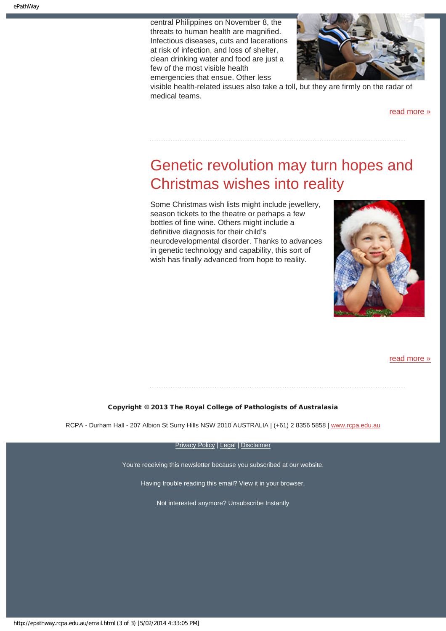central Philippines on November 8, the threats to human health are magnified. Infectious diseases, cuts and lacerations at risk of infection, and loss of shelter, clean drinking water and food are just a few of the most visible health emergencies that ensue. Other less



visible health-related issues also take a toll, but they are firmly on the radar of medical teams.

[read more »](#page-10-0)

## Genetic revolution may turn hopes and Christmas wishes into reality

Some Christmas wish lists might include jewellery, season tickets to the theatre or perhaps a few bottles of fine wine. Others might include a definitive diagnosis for their child's neurodevelopmental disorder. Thanks to advances in genetic technology and capability, this sort of wish has finally advanced from hope to reality.



[read more »](#page-12-0)

### Copyright © 2013 The Royal College of Pathologists of Australasia

RCPA - Durham Hall - 207 Albion St Surry Hills NSW 2010 AUSTRALIA | (+61) 2 8356 5858 | [www.rcpa.edu.au](http://www.rcpa.edu.au/)

[Privacy Policy](http://www.rcpa.edu.au/Privacy.htm) | [Legal](http://www.rcpa.edu.au/Legal.htm) | [Disclaimer](http://www.rcpa.edu.au/Disclaimer.htm)

You're receiving this newsletter because you subscribed at our website.

Having trouble reading this email? [View it in your browser](#page-14-0).

Not interested anymore? Unsubscribe Instantly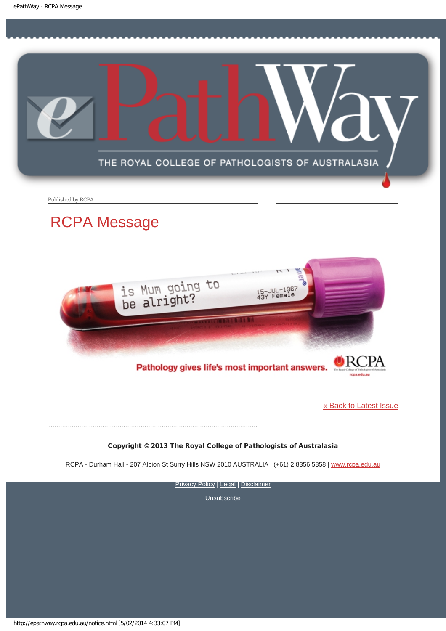<span id="page-3-0"></span>

Published by RCPA

### RCPA Message



Pathology gives life's most important answers.

[« Back to Latest Issue](#page-14-0)

Copyright © 2013 The Royal College of Pathologists of Australasia

RCPA - Durham Hall - 207 Albion St Surry Hills NSW 2010 AUSTRALIA | (+61) 2 8356 5858 | [www.rcpa.edu.au](http://www.rcpa.edu.au/)

**[Privacy Policy](http://www.rcpa.edu.au/Privacy.htm) | [Legal](http://www.rcpa.edu.au/Legal.htm) | [Disclaimer](http://www.rcpa.edu.au/Disclaimer.htm)** 

**[Unsubscribe](http://epathway.rcpa.edu.au/subscription.html)** 

http://epathway.rcpa.edu.au/notice.html [5/02/2014 4:33:07 PM]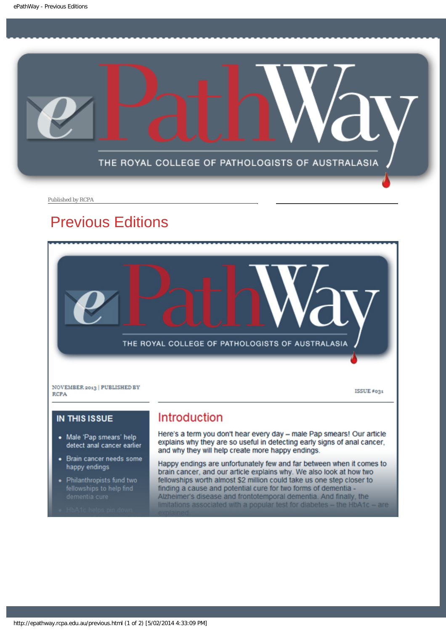<span id="page-4-0"></span>

Published by RCPA

### Previous Editions



NOVEMBER 2013 | PUBLISHED BY **RCPA** 

ISSUE #031

### **IN THIS ISSUE**

- Male 'Pap smears' help ٠ detect anal cancer earlier
- Brain cancer needs some ٠ happy endings
- Philanthropists fund two

### Introduction

Here's a term you don't hear every day - male Pap smears! Our article explains why they are so useful in detecting early signs of anal cancer, and why they will help create more happy endings.

Happy endings are unfortunately few and far between when it comes to brain cancer, and our article explains why. We also look at how two fellowships worth almost \$2 million could take us one step closer to finding a cause and potential cure for two forms of dementia -Alzheimer's disease and frontotemporal dementia. And finally, the limitations associated with a popular test for diabetes - the HbA1c - are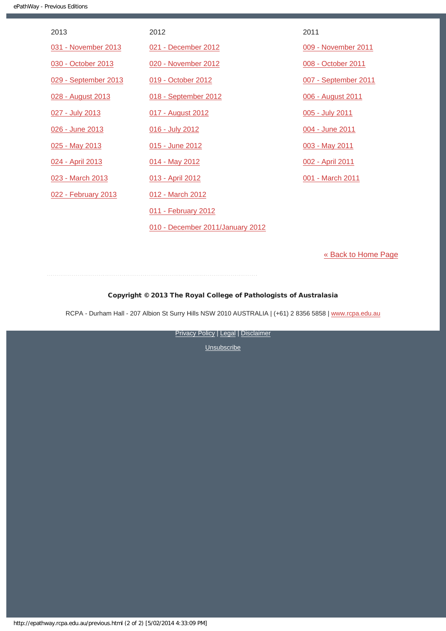| 2013                 | 2012                             | 2011                 |
|----------------------|----------------------------------|----------------------|
| 031 - November 2013  | 021 - December 2012              | 009 - November 2011  |
| 030 - October 2013   | 020 - November 2012              | 008 - October 2011   |
| 029 - September 2013 | 019 - October 2012               | 007 - September 2011 |
| 028 - August 2013    | 018 - September 2012             | 006 - August 2011    |
| 027 - July 2013      | 017 - August 2012                | 005 - July 2011      |
| 026 - June 2013      | 016 - July 2012                  | 004 - June 2011      |
| 025 - May 2013       | 015 - June 2012                  | 003 - May 2011       |
| 024 - April 2013     | 014 - May 2012                   | 002 - April 2011     |
| 023 - March 2013     | 013 - April 2012                 | 001 - March 2011     |
| 022 - February 2013  | 012 - March 2012                 |                      |
|                      | 011 - February 2012              |                      |
|                      | 010 - December 2011/January 2012 |                      |

[« Back to Home Page](#page-14-0)

Copyright © 2013 The Royal College of Pathologists of Australasia

RCPA - Durham Hall - 207 Albion St Surry Hills NSW 2010 AUSTRALIA | (+61) 2 8356 5858 | [www.rcpa.edu.au](http://www.rcpa.edu.au/)

**[Privacy Policy](http://www.rcpa.edu.au/Privacy.htm) | [Legal](http://www.rcpa.edu.au/Legal.htm) | [Disclaimer](http://www.rcpa.edu.au/Disclaimer.htm)**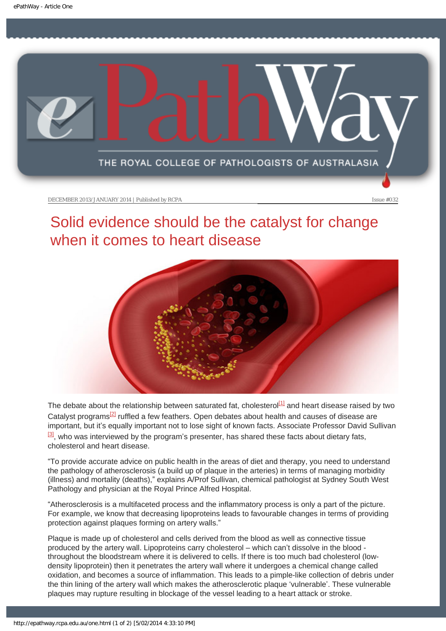<span id="page-6-0"></span>

# Solid evidence should be the catalyst for change when it comes to heart disease



<span id="page-6-3"></span><span id="page-6-2"></span><span id="page-6-1"></span>The debate about the relationship between saturated fat, cholesterol<sup>[1]</sup> and heart disease raised by two Catalyst programs<sup>[2]</sup> ruffled a few feathers. Open debates about health and causes of disease are important, but it's equally important not to lose sight of known facts. Associate Professor David Sullivan  $\frac{3}{3}$ , who was interviewed by the program's presenter, has shared these facts about dietary fats, cholesterol and heart disease.

"To provide accurate advice on public health in the areas of diet and therapy, you need to understand the pathology of atherosclerosis (a build up of plaque in the arteries) in terms of managing morbidity (illness) and mortality (deaths)," explains A/Prof Sullivan, chemical pathologist at Sydney South West Pathology and physician at the Royal Prince Alfred Hospital.

"Atherosclerosis is a multifaceted process and the inflammatory process is only a part of the picture. For example, we know that decreasing lipoproteins leads to favourable changes in terms of providing protection against plaques forming on artery walls."

Plaque is made up of cholesterol and cells derived from the blood as well as connective tissue produced by the artery wall. Lipoproteins carry cholesterol – which can't dissolve in the blood throughout the bloodstream where it is delivered to cells. If there is too much bad cholesterol (lowdensity lipoprotein) then it penetrates the artery wall where it undergoes a chemical change called oxidation, and becomes a source of inflammation. This leads to a pimple-like collection of debris under the thin lining of the artery wall which makes the atherosclerotic plaque 'vulnerable'. These vulnerable plaques may rupture resulting in blockage of the vessel leading to a heart attack or stroke.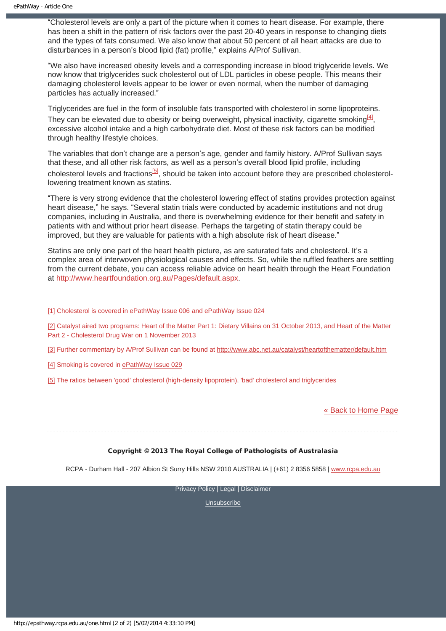"Cholesterol levels are only a part of the picture when it comes to heart disease. For example, there has been a shift in the pattern of risk factors over the past 20-40 years in response to changing diets and the types of fats consumed. We also know that about 50 percent of all heart attacks are due to disturbances in a person's blood lipid (fat) profile," explains A/Prof Sullivan.

"We also have increased obesity levels and a corresponding increase in blood triglyceride levels. We now know that triglycerides suck cholesterol out of LDL particles in obese people. This means their damaging cholesterol levels appear to be lower or even normal, when the number of damaging particles has actually increased."

<span id="page-7-5"></span>Triglycerides are fuel in the form of insoluble fats transported with cholesterol in some lipoproteins. They can be elevated due to obesity or being overweight, physical inactivity, cigarette smoking<sup>[4]</sup>, excessive alcohol intake and a high carbohydrate diet. Most of these risk factors can be modified through healthy lifestyle choices.

The variables that don't change are a person's age, gender and family history. A/Prof Sullivan says that these, and all other risk factors, as well as a person's overall blood lipid profile, including cholesterol levels and fractions<sup>[\[5\]](#page-7-4)</sup>, should be taken into account before they are prescribed cholesterollowering treatment known as statins.

<span id="page-7-6"></span>"There is very strong evidence that the cholesterol lowering effect of statins provides protection against heart disease," he says. "Several statin trials were conducted by academic institutions and not drug companies, including in Australia, and there is overwhelming evidence for their benefit and safety in patients with and without prior heart disease. Perhaps the targeting of statin therapy could be improved, but they are valuable for patients with a high absolute risk of heart disease."

Statins are only one part of the heart health picture, as are saturated fats and cholesterol. It's a complex area of interwoven physiological causes and effects. So, while the ruffled feathers are settling from the current debate, you can access reliable advice on heart health through the Heart Foundation at [http://www.heartfoundation.org.au/Pages/default.aspx.](http://www.heartfoundation.org.au/Pages/default.aspx)

<span id="page-7-0"></span>[\[1\]](#page-6-1) Cholesterol is covered in [ePathWay Issue 006](http://epathway.rcpa.edu.au/previous/006_0811.pdf) and [ePathWay Issue 024](http://epathway.rcpa.edu.au/previous/024_0413.pdf)

<span id="page-7-1"></span>[\[2\]](#page-6-2) Catalyst aired two programs: Heart of the Matter Part 1: Dietary Villains on 31 October 2013, and Heart of the Matter Part 2 - Cholesterol Drug War on 1 November 2013

<span id="page-7-2"></span>[\[3\]](#page-6-3) Further commentary by A/Prof Sullivan can be found at<http://www.abc.net.au/catalyst/heartofthematter/default.htm>

<span id="page-7-3"></span>[\[4\]](#page-7-5) Smoking is covered in [ePathWay Issue 029](http://epathway.rcpa.edu.au/previous/029_0913.pdf)

<span id="page-7-4"></span>[\[5\]](#page-7-6) The ratios between 'good' cholesterol (high-density lipoprotein), 'bad' cholesterol and triglycerides

[« Back to Home Page](#page-14-0)

Copyright © 2013 The Royal College of Pathologists of Australasia

RCPA - Durham Hall - 207 Albion St Surry Hills NSW 2010 AUSTRALIA | (+61) 2 8356 5858 | [www.rcpa.edu.au](http://www.rcpa.edu.au/)

**[Privacy Policy](http://www.rcpa.edu.au/Privacy.htm) | [Legal](http://www.rcpa.edu.au/Legal.htm) | [Disclaimer](http://www.rcpa.edu.au/Disclaimer.htm)**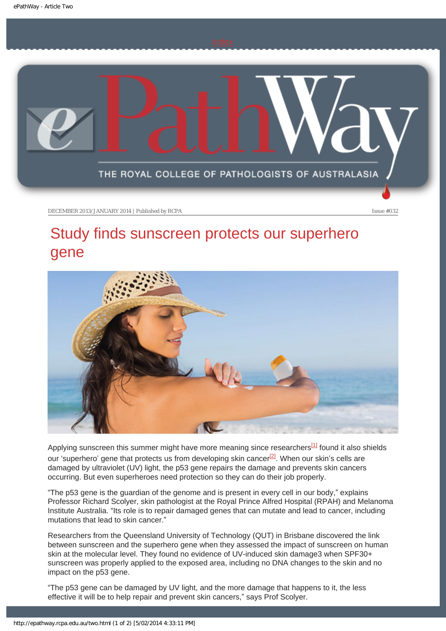<span id="page-8-0"></span>

# Study finds sunscreen protects our superhero gene



Applying sunscreen this summer might have more meaning since researchers<sup>[1]</sup> found it also shields our 'superhero' gene that protects us from developing skin cancer $^{[2]}$ . When our skin's cells are damaged by ultraviolet (UV) light, the p53 gene repairs the damage and prevents skin cancers occurring. But even superheroes need protection so they can do their job properly.

"The p53 gene is the guardian of the genome and is present in every cell in our body," explains Professor Richard Scolyer, skin pathologist at the Royal Prince Alfred Hospital (RPAH) and Melanoma Institute Australia. "Its role is to repair damaged genes that can mutate and lead to cancer, including mutations that lead to skin cancer."

Researchers from the Queensland University of Technology (QUT) in Brisbane discovered the link between sunscreen and the superhero gene when they assessed the impact of sunscreen on human skin at the molecular level. They found no evidence of UV-induced skin damage3 when SPF30+ sunscreen was properly applied to the exposed area, including no DNA changes to the skin and no impact on the p53 gene.

"The p53 gene can be damaged by UV light, and the more damage that happens to it, the less effective it will be to help repair and prevent skin cancers," says Prof Scolyer.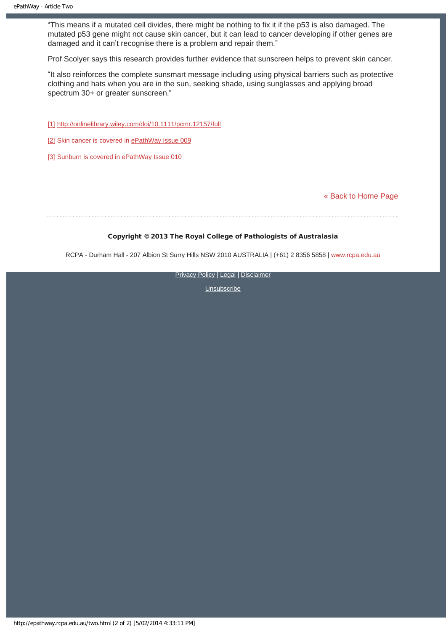"This means if a mutated cell divides, there might be nothing to fix it if the p53 is also damaged. The mutated p53 gene might not cause skin cancer, but it can lead to cancer developing if other genes are damaged and it can't recognise there is a problem and repair them."

Prof Scolyer says this research provides further evidence that sunscreen helps to prevent skin cancer.

"It also reinforces the complete sunsmart message including using physical barriers such as protective clothing and hats when you are in the sun, seeking shade, using sunglasses and applying broad spectrum 30+ or greater sunscreen."

- [1] <http://onlinelibrary.wiley.com/doi/10.1111/pcmr.12157/full>
- [2] Skin cancer is covered in [ePathWay Issue 009](http://epathway.rcpa.edu.au/previous/009_1111.pdf)
- [\[3\]](#page-8-0) Sunburn is covered in [ePathWay Issue 010](http://epathway.rcpa.edu.au/previous/010_0112.pdf)

[« Back to Home Page](#page-14-0)

### Copyright © 2013 The Royal College of Pathologists of Australasia

RCPA - Durham Hall - 207 Albion St Surry Hills NSW 2010 AUSTRALIA | (+61) 2 8356 5858 | [www.rcpa.edu.au](http://www.rcpa.edu.au/)

[Privacy Policy](http://www.rcpa.edu.au/Privacy.htm) | [Legal](http://www.rcpa.edu.au/Legal.htm) | [Disclaimer](http://www.rcpa.edu.au/Disclaimer.htm)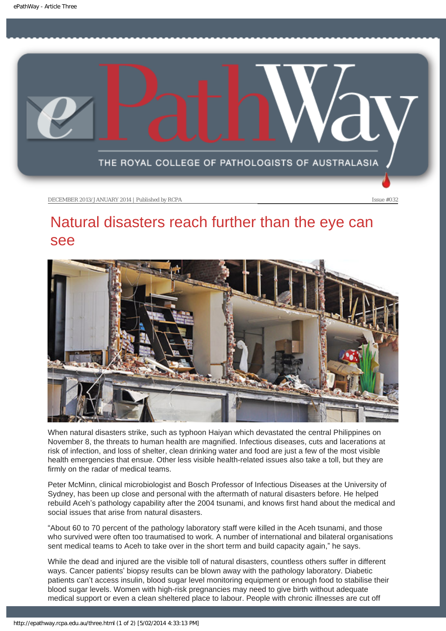<span id="page-10-0"></span>

# Natural disasters reach further than the eye can see



When natural disasters strike, such as typhoon Haiyan which devastated the central Philippines on November 8, the threats to human health are magnified. Infectious diseases, cuts and lacerations at risk of infection, and loss of shelter, clean drinking water and food are just a few of the most visible health emergencies that ensue. Other less visible health-related issues also take a toll, but they are firmly on the radar of medical teams.

Peter McMinn, clinical microbiologist and Bosch Professor of Infectious Diseases at the University of Sydney, has been up close and personal with the aftermath of natural disasters before. He helped rebuild Aceh's pathology capability after the 2004 tsunami, and knows first hand about the medical and social issues that arise from natural disasters.

"About 60 to 70 percent of the pathology laboratory staff were killed in the Aceh tsunami, and those who survived were often too traumatised to work. A number of international and bilateral organisations sent medical teams to Aceh to take over in the short term and build capacity again," he says.

While the dead and injured are the visible toll of natural disasters, countless others suffer in different ways. Cancer patients' biopsy results can be blown away with the pathology laboratory. Diabetic patients can't access insulin, blood sugar level monitoring equipment or enough food to stabilise their blood sugar levels. Women with high-risk pregnancies may need to give birth without adequate medical support or even a clean sheltered place to labour. People with chronic illnesses are cut off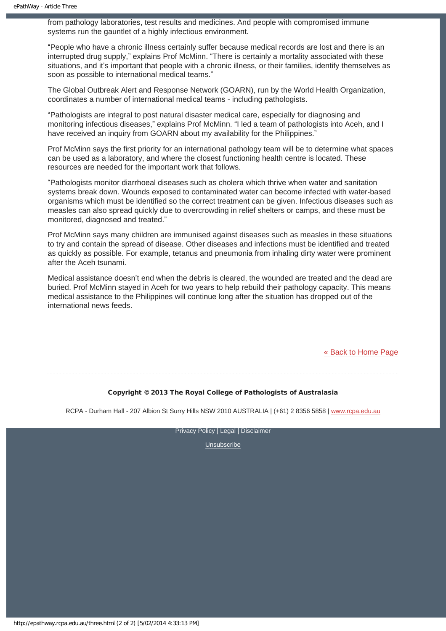from pathology laboratories, test results and medicines. And people with compromised immune systems run the gauntlet of a highly infectious environment.

"People who have a chronic illness certainly suffer because medical records are lost and there is an interrupted drug supply," explains Prof McMinn. "There is certainly a mortality associated with these situations, and it's important that people with a chronic illness, or their families, identify themselves as soon as possible to international medical teams."

The Global Outbreak Alert and Response Network (GOARN), run by the World Health Organization, coordinates a number of international medical teams - including pathologists.

"Pathologists are integral to post natural disaster medical care, especially for diagnosing and monitoring infectious diseases," explains Prof McMinn. "I led a team of pathologists into Aceh, and I have received an inquiry from GOARN about my availability for the Philippines."

Prof McMinn says the first priority for an international pathology team will be to determine what spaces can be used as a laboratory, and where the closest functioning health centre is located. These resources are needed for the important work that follows.

"Pathologists monitor diarrhoeal diseases such as cholera which thrive when water and sanitation systems break down. Wounds exposed to contaminated water can become infected with water-based organisms which must be identified so the correct treatment can be given. Infectious diseases such as measles can also spread quickly due to overcrowding in relief shelters or camps, and these must be monitored, diagnosed and treated."

Prof McMinn says many children are immunised against diseases such as measles in these situations to try and contain the spread of disease. Other diseases and infections must be identified and treated as quickly as possible. For example, tetanus and pneumonia from inhaling dirty water were prominent after the Aceh tsunami.

Medical assistance doesn't end when the debris is cleared, the wounded are treated and the dead are buried. Prof McMinn stayed in Aceh for two years to help rebuild their pathology capacity. This means medical assistance to the Philippines will continue long after the situation has dropped out of the international news feeds.

[« Back to Home Page](#page-14-0)

#### Copyright © 2013 The Royal College of Pathologists of Australasia

RCPA - Durham Hall - 207 Albion St Surry Hills NSW 2010 AUSTRALIA | (+61) 2 8356 5858 | [www.rcpa.edu.au](http://www.rcpa.edu.au/)

[Privacy Policy](http://www.rcpa.edu.au/Privacy.htm) | [Legal](http://www.rcpa.edu.au/Legal.htm) | [Disclaimer](http://www.rcpa.edu.au/Disclaimer.htm)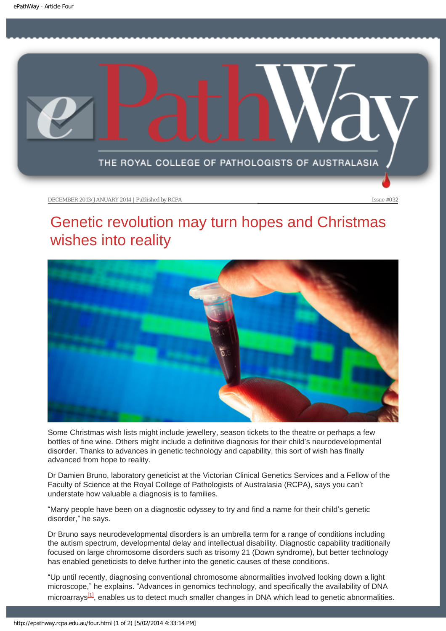<span id="page-12-0"></span>

# Genetic revolution may turn hopes and Christmas wishes into reality



Some Christmas wish lists might include jewellery, season tickets to the theatre or perhaps a few bottles of fine wine. Others might include a definitive diagnosis for their child's neurodevelopmental disorder. Thanks to advances in genetic technology and capability, this sort of wish has finally advanced from hope to reality.

Dr Damien Bruno, laboratory geneticist at the Victorian Clinical Genetics Services and a Fellow of the Faculty of Science at the Royal College of Pathologists of Australasia (RCPA), says you can't understate how valuable a diagnosis is to families.

"Many people have been on a diagnostic odyssey to try and find a name for their child's genetic disorder," he says.

Dr Bruno says neurodevelopmental disorders is an umbrella term for a range of conditions including the autism spectrum, developmental delay and intellectual disability. Diagnostic capability traditionally focused on large chromosome disorders such as trisomy 21 (Down syndrome), but better technology has enabled geneticists to delve further into the genetic causes of these conditions.

<span id="page-12-1"></span>"Up until recently, diagnosing conventional chromosome abnormalities involved looking down a light microscope," he explains. "Advances in genomics technology, and specifically the availability of DNA microarrays $[1]$ , enables us to detect much smaller changes in DNA which lead to genetic abnormalities.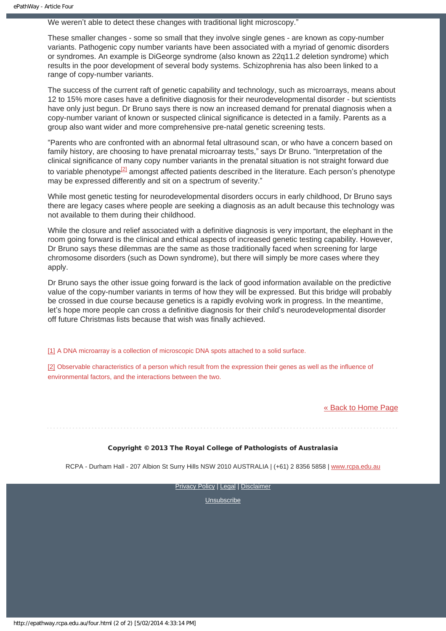We weren't able to detect these changes with traditional light microscopy."

These smaller changes - some so small that they involve single genes - are known as copy-number variants. Pathogenic copy number variants have been associated with a myriad of genomic disorders or syndromes. An example is DiGeorge syndrome (also known as 22q11.2 deletion syndrome) which results in the poor development of several body systems. Schizophrenia has also been linked to a range of copy-number variants.

The success of the current raft of genetic capability and technology, such as microarrays, means about 12 to 15% more cases have a definitive diagnosis for their neurodevelopmental disorder - but scientists have only just begun. Dr Bruno says there is now an increased demand for prenatal diagnosis when a copy-number variant of known or suspected clinical significance is detected in a family. Parents as a group also want wider and more comprehensive pre-natal genetic screening tests.

"Parents who are confronted with an abnormal fetal ultrasound scan, or who have a concern based on family history, are choosing to have prenatal microarray tests," says Dr Bruno. "Interpretation of the clinical significance of many copy number variants in the prenatal situation is not straight forward due to variable phenotype $^{[2]}$  amongst affected patients described in the literature. Each person's phenotype may be expressed differently and sit on a spectrum of severity."

<span id="page-13-2"></span>While most genetic testing for neurodevelopmental disorders occurs in early childhood, Dr Bruno says there are legacy cases where people are seeking a diagnosis as an adult because this technology was not available to them during their childhood.

While the closure and relief associated with a definitive diagnosis is very important, the elephant in the room going forward is the clinical and ethical aspects of increased genetic testing capability. However, Dr Bruno says these dilemmas are the same as those traditionally faced when screening for large chromosome disorders (such as Down syndrome), but there will simply be more cases where they apply.

Dr Bruno says the other issue going forward is the lack of good information available on the predictive value of the copy-number variants in terms of how they will be expressed. But this bridge will probably be crossed in due course because genetics is a rapidly evolving work in progress. In the meantime, let's hope more people can cross a definitive diagnosis for their child's neurodevelopmental disorder off future Christmas lists because that wish was finally achieved.

<span id="page-13-0"></span>[\[1\]](#page-12-1) A DNA microarray is a collection of microscopic DNA spots attached to a solid surface.

<span id="page-13-1"></span>[\[2\]](#page-13-2) Observable characteristics of a person which result from the expression their genes as well as the influence of environmental factors, and the interactions between the two.

[« Back to Home Page](#page-14-0)

Copyright © 2013 The Royal College of Pathologists of Australasia

RCPA - Durham Hall - 207 Albion St Surry Hills NSW 2010 AUSTRALIA | (+61) 2 8356 5858 | [www.rcpa.edu.au](http://www.rcpa.edu.au/)

**[Privacy Policy](http://www.rcpa.edu.au/Privacy.htm) | [Legal](http://www.rcpa.edu.au/Legal.htm) | [Disclaimer](http://www.rcpa.edu.au/Disclaimer.htm)**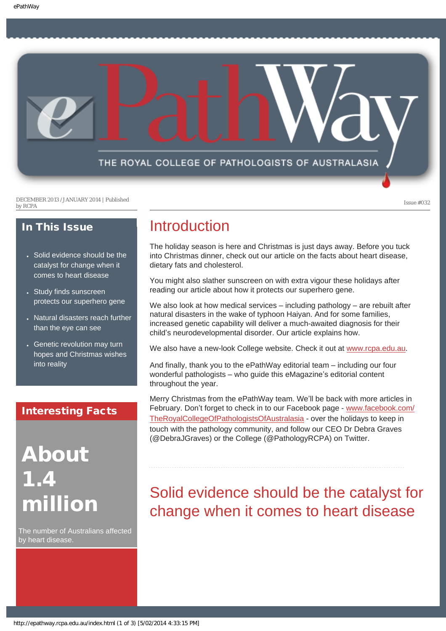<span id="page-14-0"></span>THE ROYAL COLLEGE OF PATHOLOGISTS OF AUSTRALASIA

DECEMBER 2013 /JANUARY 2014 | Published by RCPA Issue #032

### In This Issue

- Solid evidence should be the catalyst for change when it comes to heart disease
- Study finds sunscreen protects our superhero gene
- Natural disasters reach further than the eye can see
- Genetic revolution may turn hopes and Christmas wishes into reality

### Interesting Facts

About 1.4 million

The number of Australians affected by heart disease.

### Introduction

The holiday season is here and Christmas is just days away. Before you tuck into Christmas dinner, check out our article on the facts about heart disease, dietary fats and cholesterol.

You might also slather sunscreen on with extra vigour these holidays after reading our article about how it protects our superhero gene.

We also look at how medical services – including pathology – are rebuilt after natural disasters in the wake of typhoon Haiyan. And for some families, increased genetic capability will deliver a much-awaited diagnosis for their child's neurodevelopmental disorder. Our article explains how.

We also have a new-look College website. Check it out at [www.rcpa.edu.au](http://www.rcpa.edu.au/).

And finally, thank you to the ePathWay editorial team – including our four wonderful pathologists – who guide this eMagazine's editorial content throughout the year.

Merry Christmas from the ePathWay team. We'll be back with more articles in February. Don't forget to check in to our Facebook page - [www.facebook.com/](http://www.facebook.com/TheRoyalCollegeOfPathologistsOfAustralasia) [TheRoyalCollegeOfPathologistsOfAustralasia](http://www.facebook.com/TheRoyalCollegeOfPathologistsOfAustralasia) - over the holidays to keep in touch with the pathology community, and follow our CEO Dr Debra Graves (@DebraJGraves) or the College (@PathologyRCPA) on Twitter.

# Solid evidence should be the catalyst for change when it comes to heart disease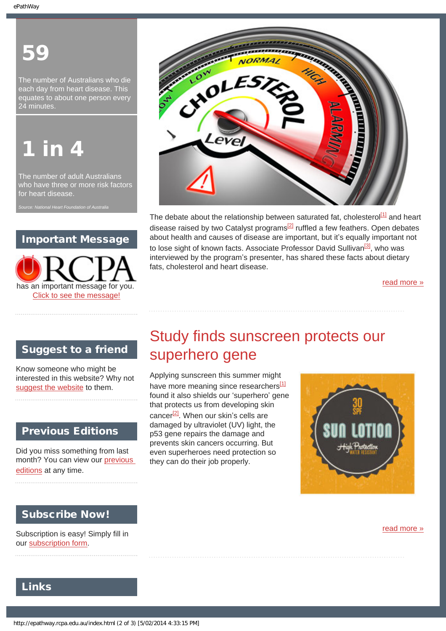# 59

The number of Australians who die each day from heart disease. This equates to about one person every 24 minutes.

# **in** 4

The number of adult Australians who have three or more risk factors for heart disease.

### Important Message





The debate about the relationship between saturated fat, cholesterol $\frac{11}{1}$  and heart disease raised by two Catalyst programs<sup>[2]</sup> ruffled a few feathers. Open debates about health and causes of disease are important, but it's equally important not to lose sight of known facts. Associate Professor David Sullivan<sup>[\[3\]](#page-7-2)</sup>, who was interviewed by the program's presenter, has shared these facts about dietary fats, cholesterol and heart disease.

[read more »](#page-6-0)

### Suggest to a friend

Know someone who might be interested in this website? Why not [suggest the website](mailto:?Subject=I%20think%20you%20should%20read%20this%20Newsletter=
http://epathway.rcpa.edu.au/index.html) to them.

### Previous Editions

Did you miss something from last month? You can view our previous [editions](#page-4-0) at any time.

# Study finds sunscreen protects our superhero gene

Applying sunscreen this summer might have more meaning since researchers<sup>[1]</sup> found it also shields our 'superhero' gene that protects us from developing skin cancer $^{[2]}$ . When our skin's cells are damaged by ultraviolet (UV) light, the p53 gene repairs the damage and prevents skin cancers occurring. But even superheroes need protection so they can do their job properly.



### Subscribe Now!

Subscription is easy! Simply fill in our [subscription form.](http://epathway.rcpa.edu.au/subscription.html)

[read more »](#page-8-0)

### Links